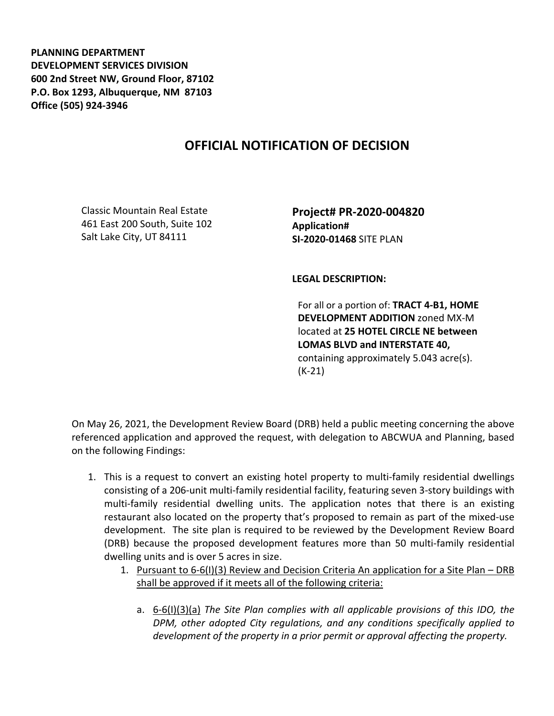**PLANNING DEPARTMENT DEVELOPMENT SERVICES DIVISION 600 2nd Street NW, Ground Floor, 87102 P.O. Box 1293, Albuquerque, NM 87103 Office (505) 924-3946** 

## **OFFICIAL NOTIFICATION OF DECISION**

Classic Mountain Real Estate 461 East 200 South, Suite 102 Salt Lake City, UT 84111

**Project# PR-2020-004820 Application# SI-2020-01468** SITE PLAN

**LEGAL DESCRIPTION:**

For all or a portion of: **TRACT 4-B1, HOME DEVELOPMENT ADDITION** zoned MX-M located at **25 HOTEL CIRCLE NE between LOMAS BLVD and INTERSTATE 40,**  containing approximately 5.043 acre(s). (K-21)

On May 26, 2021, the Development Review Board (DRB) held a public meeting concerning the above referenced application and approved the request, with delegation to ABCWUA and Planning, based on the following Findings:

- 1. This is a request to convert an existing hotel property to multi-family residential dwellings consisting of a 206-unit multi-family residential facility, featuring seven 3-story buildings with multi-family residential dwelling units. The application notes that there is an existing restaurant also located on the property that's proposed to remain as part of the mixed-use development. The site plan is required to be reviewed by the Development Review Board (DRB) because the proposed development features more than 50 multi-family residential dwelling units and is over 5 acres in size.
	- 1. Pursuant to 6-6(I)(3) Review and Decision Criteria An application for a Site Plan DRB shall be approved if it meets all of the following criteria:
		- a. 6-6(I)(3)(a) *The Site Plan complies with all applicable provisions of this IDO, the DPM, other adopted City regulations, and any conditions specifically applied to development of the property in a prior permit or approval affecting the property.*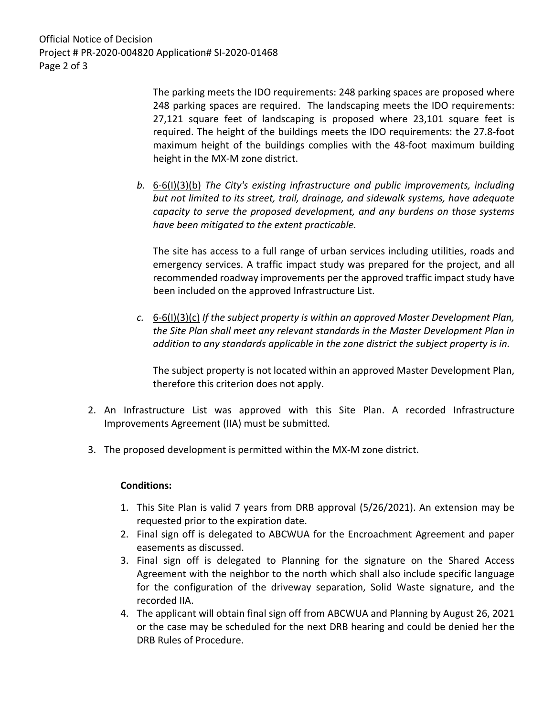Official Notice of Decision Project # PR-2020-004820 Application# SI-2020-01468 Page 2 of 3

> The parking meets the IDO requirements: 248 parking spaces are proposed where 248 parking spaces are required. The landscaping meets the IDO requirements: 27,121 square feet of landscaping is proposed where 23,101 square feet is required. The height of the buildings meets the IDO requirements: the 27.8-foot maximum height of the buildings complies with the 48-foot maximum building height in the MX-M zone district.

*b.* 6-6(I)(3)(b) *The City's existing infrastructure and public improvements, including but not limited to its street, trail, drainage, and sidewalk systems, have adequate capacity to serve the proposed development, and any burdens on those systems have been mitigated to the extent practicable.* 

The site has access to a full range of urban services including utilities, roads and emergency services. A traffic impact study was prepared for the project, and all recommended roadway improvements per the approved traffic impact study have been included on the approved Infrastructure List.

*c.* 6-6(I)(3)(c) *If the subject property is within an approved Master Development Plan, the Site Plan shall meet any relevant standards in the Master Development Plan in addition to any standards applicable in the zone district the subject property is in.*

The subject property is not located within an approved Master Development Plan, therefore this criterion does not apply.

- 2. An Infrastructure List was approved with this Site Plan. A recorded Infrastructure Improvements Agreement (IIA) must be submitted.
- 3. The proposed development is permitted within the MX-M zone district.

## **Conditions:**

- 1. This Site Plan is valid 7 years from DRB approval (5/26/2021). An extension may be requested prior to the expiration date.
- 2. Final sign off is delegated to ABCWUA for the Encroachment Agreement and paper easements as discussed.
- 3. Final sign off is delegated to Planning for the signature on the Shared Access Agreement with the neighbor to the north which shall also include specific language for the configuration of the driveway separation, Solid Waste signature, and the recorded IIA.
- 4. The applicant will obtain final sign off from ABCWUA and Planning by August 26, 2021 or the case may be scheduled for the next DRB hearing and could be denied her the DRB Rules of Procedure.